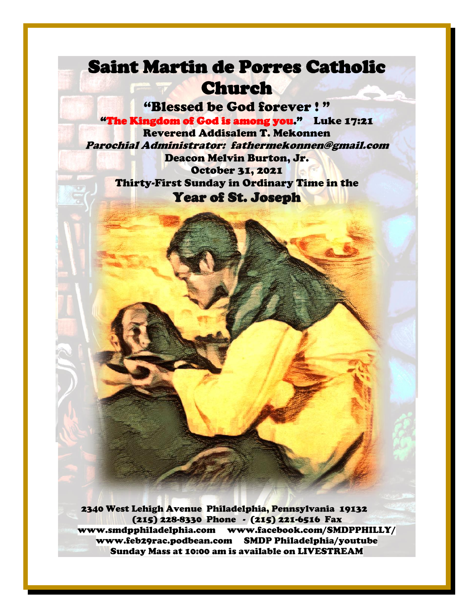## Saint Martin de Porres Catholic Church

"Blessed be God forever ! " "The Kingdom of God is among you." Luke 17:21 Reverend Addisalem T. Mekonnen Parochial Administrator: fathermekonnen@gmail.com Deacon Melvin Burton, Jr. October 31, 2021 Thirty-First Sunday in Ordinary Time in the Year of St. Joseph

-

--

. .

\_

. .

 2340 West Lehigh Avenue Philadelphia, Pennsylvania 19132 (215) 228-8330 Phone - (215) 221-6516 Fax [www.smdpphiladelphia.com](http://www.smdpphiladelphia.com/) [www.facebook.com/SMDPPHILLY/](file:///F:/2019%20Bulletins/www.facebook.com/SMDPPHILLY/) [www.feb29rac.podbean.com](http://www.feb29rac.podbean.com/) SMDP Philadelphia/youtube Sunday Mass at 10:00 am is available on LIVESTREAM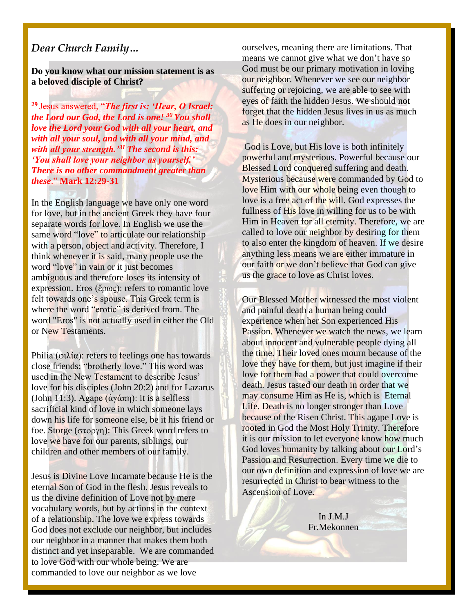#### *Dear Church Family…*

**Do you know what our mission statement is as a beloved disciple of Christ?**

**<sup>29</sup>** Jesus answered, "*The first is: 'Hear, O Israel: the Lord our God, the Lord is one! <sup>30</sup> You shall love the Lord your God with all your heart, and with all your soul, and with all your mind, and with all your strength.'<sup>31</sup> The second is this: 'You shall love your neighbor as yourself.' There is no other commandment greater than these*." **Mark 12:29-31**

In the English language we have only one word for love, but in the ancient Greek they have four separate words for love. In English we use the same word "love" to articulate our relationship with a person, object and activity. Therefore, I think whenever it is said, many people use the word "love" in vain or it just becomes ambiguous and therefore loses its intensity of expression. Eros (ἔρως): refers to romantic love felt towards one's spouse. This Greek term is where the word "erotic" is derived from. The word "Eros" is not actually used in either the Old or New Testaments.

Philia (φιλία): refers to feelings one has towards close friends: "brotherly love." This word was used in the New Testament to describe Jesus' love for his disciples (John 20:2) and for Lazarus (John 11:3). Agape (άγάπη): it is a selfless sacrificial kind of love in which someone lays down his life for someone else, be it his friend or foe. Storge ( $\sigma$ τοργη): This Greek word refers to love we have for our parents, siblings, our children and other members of our family.

Jesus is Divine Love Incarnate because He is the eternal Son of God in the flesh. Jesus reveals to us the divine definition of Love not by mere vocabulary words, but by actions in the context of a relationship. The love we express towards God does not exclude our neighbor, but includes our neighbor in a manner that makes them both distinct and yet inseparable. We are commanded to love God with our whole being. We are commanded to love our neighbor as we love

ourselves, meaning there are limitations. That means we cannot give what we don't have so God must be our primary motivation in loving our neighbor. Whenever we see our neighbor suffering or rejoicing, we are able to see with eyes of faith the hidden Jesus. We should not forget that the hidden Jesus lives in us as much as He does in our neighbor.

God is Love, but His love is both infinitely powerful and mysterious. Powerful because our Blessed Lord conquered suffering and death. Mysterious because were commanded by God to love Him with our whole being even though to love is a free act of the will. God expresses the fullness of His love in willing for us to be with Him in Heaven for all eternity. Therefore, we are called to love our neighbor by desiring for them to also enter the kingdom of heaven. If we desire anything less means we are either immature in our faith or we don't believe that God can give us the grace to love as Christ loves.

Our Blessed Mother witnessed the most violent and painful death a human being could experience when her Son experienced His Passion. Whenever we watch the news, we learn about innocent and vulnerable people dying all the time. Their loved ones mourn because of the love they have for them, but just imagine if their love for them had a power that could overcome death. Jesus tasted our death in order that we may consume Him as He is, which is Eternal Life. Death is no longer stronger than Love because of the Risen Christ. This agape Love is rooted in God the Most Holy Trinity. Therefore it is our mission to let everyone know how much God loves humanity by talking about our Lord's Passion and Resurrection. Every time we die to our own definition and expression of love we are resurrected in Christ to bear witness to the Ascension of Love.

> In J.M.J Fr.Mekonnen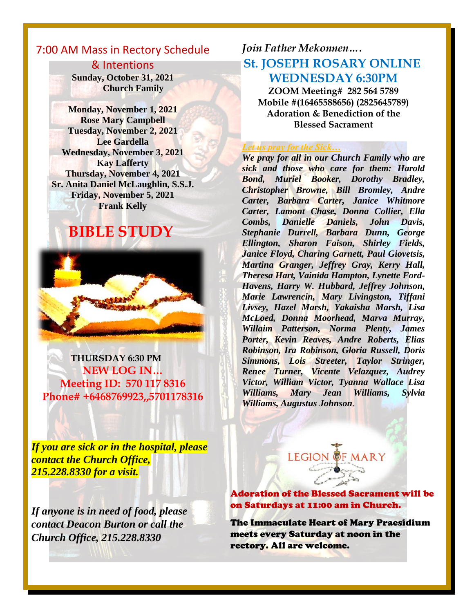## 7:00 AM Mass in Rectory Schedule

& Intentions **Sunday, October 31, 2021 Church Family**

**Monday, November 1, 2021 Rose Mary Campbell Tuesday, November 2, 2021 Lee Gardella Wednesday, November 3, 2021 Kay Lafferty Thursday, November 4, 2021 Sr. Anita Daniel McLaughlin, S.S.J. Friday, November 5, 2021 Frank Kelly** 

## **BIBLE STUDY**



 **THURSDAY 6:30 PM NEW LOG IN… Meeting ID: 570 117 8316 Phone# +6468769923,,5701178316**

*If you are sick or in the hospital, please contact the Church Office, 215.228.8330 for a visit.*

*If anyone is in need of food, please contact Deacon Burton or call the Church Office, 215.228.8330*

## *Join Father Mekonnen….* **St. JOSEPH ROSARY ONLINE WEDNESDAY 6:30PM**

**ZOOM Meeting# 282 564 5789 Mobile #(16465588656) (2825645789) Adoration & Benediction of the Blessed Sacrament**

#### *Let us pray for the Sick…*

*We pray for all in our Church Family who are sick and those who care for them: Harold Bond, Muriel Booker, Dorothy Bradley, Christopher Browne, Bill Bromley, Andre Carter, Barbara Carter, Janice Whitmore Carter, Lamont Chase, Donna Collier, Ella Combs, Danielle Daniels, John Davis, Stephanie Durrell, Barbara Dunn, George Ellington, Sharon Faison, Shirley Fields, Janice Floyd, Charing Garnett, Paul Giovetsis, Martina Granger, Jeffrey Gray, Kerry Hall, Theresa Hart, Vainida Hampton, Lynette Ford-Havens, Harry W. Hubbard, Jeffrey Johnson, Marie Lawrencin, Mary Livingston, Tiffani Livsey, Hazel Marsh, Yakaisha Marsh, Lisa McLoed, Donna Moorhead, Marva Murray, Willaim Patterson, Norma Plenty, James Porter, Kevin Reaves, Andre Roberts, Elias Robinson, Ira Robinson, Gloria Russell, Doris Simmons, Lois Streeter, Taylor Stringer, Renee Turner, Vicente Velazquez, Audrey Victor, William Victor, Tyanna Wallace Lisa Williams, Mary Jean Williams, Sylvia Williams, Augustus Johnson.*  $\frac{1}{\sqrt{2}}$ 

**LEGION** Adoration of the Blessed Sacrament will be

on Saturdays at 11:00 am in Church.

The Immaculate Heart of Mary Praesidium meets every Saturday at noon in the rectory. All are welcome.